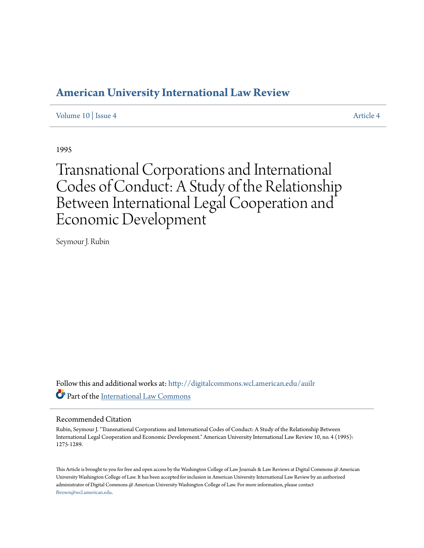# **[American University International Law Review](http://digitalcommons.wcl.american.edu/auilr?utm_source=digitalcommons.wcl.american.edu%2Fauilr%2Fvol10%2Fiss4%2F4&utm_medium=PDF&utm_campaign=PDFCoverPages)**

[Volume 10](http://digitalcommons.wcl.american.edu/auilr/vol10?utm_source=digitalcommons.wcl.american.edu%2Fauilr%2Fvol10%2Fiss4%2F4&utm_medium=PDF&utm_campaign=PDFCoverPages) | [Issue 4](http://digitalcommons.wcl.american.edu/auilr/vol10/iss4?utm_source=digitalcommons.wcl.american.edu%2Fauilr%2Fvol10%2Fiss4%2F4&utm_medium=PDF&utm_campaign=PDFCoverPages) [Article 4](http://digitalcommons.wcl.american.edu/auilr/vol10/iss4/4?utm_source=digitalcommons.wcl.american.edu%2Fauilr%2Fvol10%2Fiss4%2F4&utm_medium=PDF&utm_campaign=PDFCoverPages)

1995

Transnational Corporations and International Codes of Conduct: A Study of the Relationship Between International Legal Cooperation and Economic Development

Seymour J. Rubin

Follow this and additional works at: [http://digitalcommons.wcl.american.edu/auilr](http://digitalcommons.wcl.american.edu/auilr?utm_source=digitalcommons.wcl.american.edu%2Fauilr%2Fvol10%2Fiss4%2F4&utm_medium=PDF&utm_campaign=PDFCoverPages) Part of the [International Law Commons](http://network.bepress.com/hgg/discipline/609?utm_source=digitalcommons.wcl.american.edu%2Fauilr%2Fvol10%2Fiss4%2F4&utm_medium=PDF&utm_campaign=PDFCoverPages)

#### Recommended Citation

Rubin, Seymour J. "Transnational Corporations and International Codes of Conduct: A Study of the Relationship Between International Legal Cooperation and Economic Development." American University International Law Review 10, no. 4 (1995): 1275-1289.

This Article is brought to you for free and open access by the Washington College of Law Journals & Law Reviews at Digital Commons @ American University Washington College of Law. It has been accepted for inclusion in American University International Law Review by an authorized administrator of Digital Commons @ American University Washington College of Law. For more information, please contact [fbrown@wcl.american.edu](mailto:fbrown@wcl.american.edu).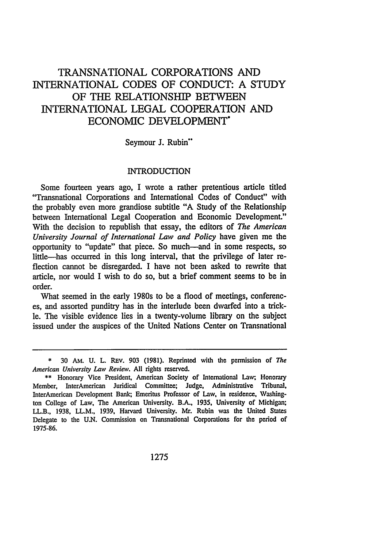## TRANSNATIONAL CORPORATIONS AND INTERNATIONAL CODES OF CONDUCT: A STUDY OF THE RELATIONSHIP BETWEEN INTERNATIONAL LEGAL COOPERATION AND ECONOMIC DEVELOPMENT\*

#### Seymour J. Rubin"

#### INTRODUCTION

Some fourteen years ago, I wrote a rather pretentious article titled "Transnational Corporations and International Codes of Conduct" with the probably even more grandiose subtitle "A Study of the Relationship between International Legal Cooperation and Economic Development." With the decision to republish that essay, the editors of *The American University Journal of International Law and Policy* have given me the opportunity to "update" that piece. So much--and in some respects, so little-has occurred in this long interval, that the privilege of later reflection cannot be disregarded. I have not been asked to rewrite that article, nor would I wish to do so, but a brief comment seems to be in order.

What seemed in the early 1980s to be a flood of meetings, conferences, and assorted punditry has in the interlude been dwarfed into a trickle. The visible evidence lies in a twenty-volume library on the subject issued under the auspices of the United Nations Center on Transnational

<sup>30</sup> AM. U. L. REV. 903 (1981). Reprinted with the permission of *The American University Law Review.* All rights reserved.

<sup>\*\*</sup> Honorary Vice President, American Society of International Law; Honorary Member, InterAmerican Juridical Committee; Judge, Administrative Tribunal, InterAmerican Development Bank; Emeritus Professor of Law, in residence, Washington College of Law, The American University. B.A., 1935, University of Michigan; LL.B., 1938, LL.M., 1939, Harvard University. Mr. Rubin was the United States Delegate to the U.N. Commission on Transnational Corporations for the period of 1975-86.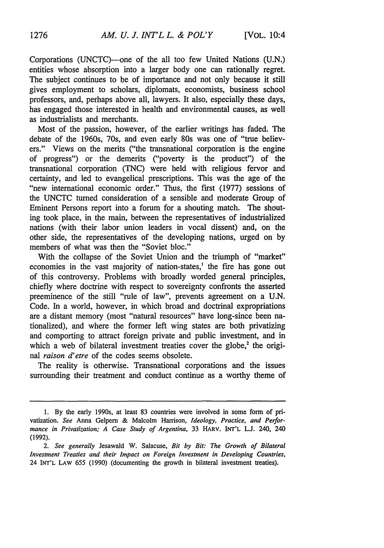Corporations (UNCTC)--one of the all too few United Nations (U.N.) entities whose absorption into a larger body one can rationally regret. The subject continues to be of importance and not only because it still gives employment to scholars, diplomats, economists, business school professors, and, perhaps above all, lawyers. It also, especially these days, has engaged those interested in health and environmental causes, as well as industrialists and merchants.

Most of the passion, however, of the earlier writings has faded. The debate of the 1960s, 70s, and even early 80s was one of "true believers." Views on the merits ("the transnational corporation is the engine of progress") or the demerits ("poverty is the product") of the transnational corporation (TNC) were held with religious fervor and certainty, and led to evangelical prescriptions. This was the age of the "new international economic order." Thus, the first (1977) sessions of the UNCTC turned consideration of a sensible and moderate Group of Eminent Persons report into a forum for a shouting match. The shouting took place, in the main, between the representatives of industrialized nations (with their labor union leaders in vocal dissent) and, on the other side, the representatives of the developing nations, urged on by members of what was then the "Soviet bloc."

With the collapse of the Soviet Union and the triumph of "market" economies in the vast majority of nation-states,' the fire has gone out of this controversy. Problems with broadly worded general principles, chiefly where doctrine with respect to sovereignty confronts the asserted preeminence of the still "rule of law", prevents agreement on a U.N. Code. In a world, however, in which broad and doctrinal expropriations are a distant memory (most "natural resources" have long-since been nationalized), and where the former left wing states are both privatizing and comporting to attract foreign private and public investment, and in which a web of bilateral investment treaties cover the globe, $2$  the original *raison d'etre* of the codes seems obsolete.

The reality is otherwise. Transnational corporations and the issues surrounding their treatment and conduct continue as a worthy theme of

<sup>1.</sup> By the early 1990s, at least 83 countries were involved in some form of privatization. *See* Anna Gelpem & Malcolm Harrison, *Ideology, Practice, and Performance in Privatization; A Case Study of Argentina,* 33 HARV. **INT'L LJ.** 240, 240 (1992).

*<sup>2.</sup> See generally* Jesawald W. Salacuse, *Bit by Bit: The Growth of Bilateral Investment Treaties and their Impact on Foreign Investment in Developing Countries,* 24 INT'L LAW **655** (1990) (documenting the growth in bilateral investment treaties).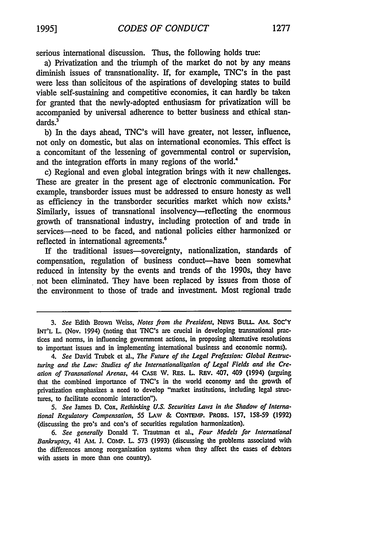serious international discussion. Thus, the following holds true:

a) Privatization and the triumph of the market do not **by** any means diminish issues of transnationality. If, for example, TNC's in the past were less than solicitous of the aspirations of developing states to build viable self-sustaining and competitive economies, it can hardly be taken for granted that the newly-adopted enthusiasm for privatization will be accompanied by universal adherence to better business and ethical standards.<sup>3</sup>

b) In the days ahead, TNC's will have greater, not lesser, influence, not only on domestic, but alas on international economies. This effect is a concomitant of the lessening of governmental control or supervision, and the integration efforts in many regions of the world.'

c) Regional and even global integration brings with it new challenges. These are greater in the present age of electronic communication. For example, transborder issues must be addressed to ensure honesty as well as efficiency in the transborder securities market which now exists.<sup>5</sup> Similarly, issues of transnational insolvency—reflecting the enormous growth of transnational industry, including protection of and trade in services-need to be faced, and national policies either harmonized or reflected in international agreements.<sup>6</sup>

If the traditional issues-sovereignty, nationalization, standards of compensation, regulation of business conduct-have been somewhat reduced in intensity by the events and trends of the 1990s, they have not been eliminated. They have been replaced by issues from those of the environment to those of trade and investment. Most regional trade

*5. See* James D. Cox, *Rethinking U.S. Securities Laws in the Shadow of International Regulatory Compensation,* **55 LAW &** CONEMiP. PROBs. 157, 158-59 (1992) (discussing the pro's and con's of securities regulation harmonization).

*6. See generally* Donald T. Trautman et al., *Four Models for International Bankruptcy,* 41 *AM.* **J. CoMp.** L. 573 (1993) (discussing the problems associated with the differences among reorganization systems when they affect the cases of debtors with assets in more than one country).

*<sup>3.</sup>* See Edith Brown Weiss, *Notes from the President,* NEwS **BuLL AM. SOc'Y** INT'L **L.** (Nov. 1994) (noting that TNC's are crucial in developing transnational practices and norms, in influencing government actions, in proposing alternative resolutions to important issues and in implementing international business and economic norms).

*<sup>4.</sup> See* David Trubek et al., *The Future of the Legal Profession: Global Restructuring and the Law: Studies of the Internationalization of Legal Fields and the Creation of Transnational Arenas,* 44 CASE **NV.** RES. L. REV. 407, 409 (1994) (arguing that the combined importance of TNC's in the world economy and the growth **of** privatization emphasizes a need to develop "market institutions, including legal structures, to facilitate economic interaction").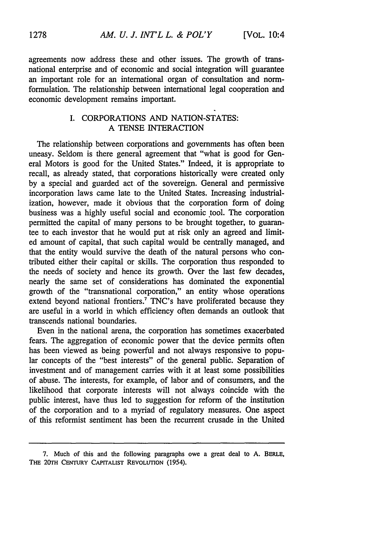agreements now address these and other issues. The growth of transnational enterprise and of economic and social integration will guarantee an important role for an international organ of consultation and normformulation. The relationship between international legal cooperation and economic development remains important.

### I. CORPORATIONS AND NATION-STATES: A TENSE INTERACTION

The relationship between corporations and governments has often been uneasy. Seldom is there general agreement that "what is good for General Motors is good for the United States." Indeed, it is appropriate to recall, as already stated, that corporations historically were created only by a special and guarded act of the sovereign. General and permissive incorporation laws came late to the United States. Increasing industrialization, however, made it obvious that the corporation form of doing business was a highly useful social and economic tool. The corporation permitted the capital of many persons to be brought together, to guarantee to each investor that he would put at risk only an agreed and limited amount of capital, that such capital would be centrally managed, and that the entity would survive the death of the natural persons who contributed either their capital or skills. The corporation thus responded to the needs of society and hence its growth. Over the last few decades, nearly the same set of considerations has dominated the exponential growth of the "transnational corporation," an entity whose operations extend beyond national frontiers.<sup> $7$ </sup> TNC's have proliferated because they are useful in a world in which efficiency often demands an outlook that transcends national boundaries.

Even in the national arena, the corporation has sometimes exacerbated fears. The aggregation of economic power that the device permits often has been viewed as being powerful and not always responsive to popular concepts of the "best interests" of the general public. Separation of investment and of management carries with it at least some possibilities of abuse. The interests, for example, of labor and of consumers, and the likelihood that corporate interests will not always coincide with the public interest, have thus led to suggestion for reform of the institution of the corporation and to a myriad of regulatory measures. One aspect of this reformist sentiment has been the recurrent crusade in the United

<sup>7.</sup> Much of this and the following paragraphs owe a great deal to A. BERLE, THE 20TH CENTURY CAPITALIST REVOLUTION (1954).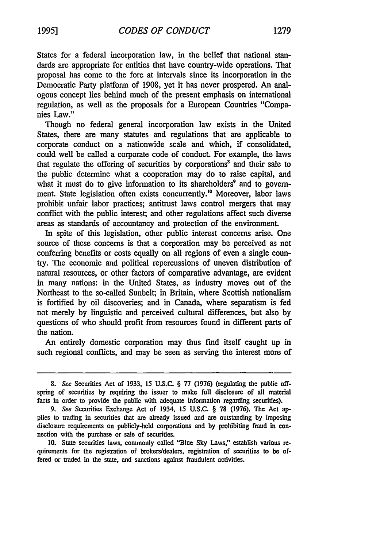States for a federal incorporation law, in the belief that national standards are appropriate for entities that have country-wide operations. That proposal has come to the fore at intervals since its incorporation in the Democratic Party platform of 1908, yet it has never prospered. An analogous concept lies behind much of the present emphasis on international regulation, as well as the proposals for a European Countries "Companies Law."

Though no federal general incorporation law exists in the United States, there are many statutes and regulations that are applicable to corporate conduct on a nationwide scale and which, if consolidated, could well be called a corporate code of conduct. For example, the laws that regulate the offering of securities by corporations<sup>8</sup> and their sale to the public determine what a cooperation may do to raise capital, and what it must do to give information to its shareholders<sup>9</sup> and to government. State legislation often exists concurrently." Moreover, labor laws prohibit unfair labor practices; antitrust laws control mergers that may conflict with the public interest; and other regulations affect such diverse areas as standards of accountancy and protection of the environment.

In spite of this legislation, other public interest concerns arise. One source of these concerns is that a corporation may be perceived as not conferring benefits or costs equally on all regions of even a single country. The economic and political repercussions of uneven distribution of natural resources, or other factors of comparative advantage, are evident in many nations: in the United States, as industry moves out of the Northeast to the so-called Sunbelt; in Britain, where Scottish nationalism is fortified by oil discoveries; and in Canada, where separatism is fed not merely by linguistic and perceived cultural differences, but also by questions of who should profit from resources found in different parts of the nation.

An entirely domestic corporation may thus find itself caught up in such regional conflicts, and may be seen as serving the interest more of

**10.** State securities laws, commonly called "Blue **Sky** Laws," establish various requirements for the registration of brokers/dealers, registration of securities to be offered or traded in the state, and sanctions against fraudulent activities.

*<sup>8.</sup>* See Securities Act of 1933, 15 U.S.C. § 77 (1976) (regulating the public offspring of securities by requiring the issuer to make full disclosure of all material facts in order to provide the public with adequate information regarding securities).

*<sup>9.</sup>* See Securities Exchange Act of 1934, 15 U.S.C. § **78** (1976). The Act applies to trading in securities that are already issued and are outstanding **by** imposing disclosure requirements on publicly-held corporations and **by** prohibiting fraud in connection with the purchase or sale of securities.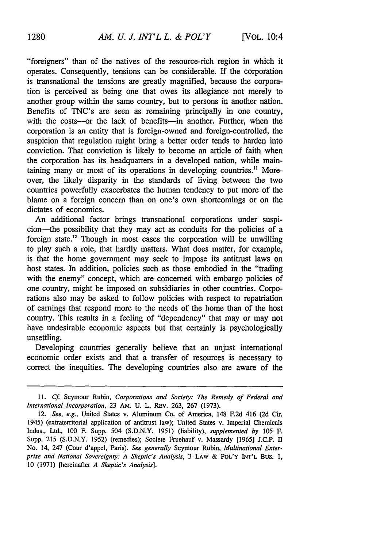"foreigners" than of the natives of the resource-rich region in which it operates. Consequently, tensions can be considerable. If the corporation is transnational the tensions are greatly magnified, because the corporation is perceived as being one that owes its allegiance not merely to another group within the same country, but to persons in another nation. Benefits of TNC's are seen as remaining principally in one country, with the costs-or the lack of benefits-in another. Further, when the corporation is an entity that is foreign-owned and foreign-controlled, the suspicion that regulation might bring a better order tends to harden into conviction. That conviction is likely to become an article of faith when the corporation has its headquarters in a developed nation, while maintaining many or most of its operations in developing countries." Moreover, the likely disparity in the standards of living between the two countries powerfully exacerbates the human tendency to put more of the blame on a foreign concern than on one's own shortcomings or on the dictates of economics.

An additional factor brings transnational corporations under suspicion-the possibility that they may act as conduits for the policies of a foreign state.<sup>12</sup> Though in most cases the corporation will be unwilling to play such a role, that hardly matters. What does matter, for example, is that the home government may seek to impose its antitrust laws on host states. In addition, policies such as those embodied in the "trading with the enemy" concept, which are concerned with embargo policies of one country, might be imposed on subsidiaries in other countries. Corporations also may be asked to follow policies with respect to repatriation of earnings that respond more to the needs of the home than of the host country. This results in a feeling of "dependency" that may or may not have undesirable economic aspects but that certainly is psychologically unsettling.

Developing countries generally believe that an unjust international economic order exists and that a transfer of resources is necessary to correct the inequities. The developing countries also are aware of the

*<sup>11.</sup> Cf.* Seymour Rubin, *Corporations and Society: The Remedy of Federal and International Incorporation,* 23 AM. U. L. REV. 263, 267 (1973).

<sup>12.</sup> *See, e.g.,* United States v. Aluminum Co. of America, 148 F.2d 416 (2d Cir. 1945) (extraterritorial application of antitrust law); United States v. Imperial Chemicals Indus., Ltd., 100 F. Supp. 504 (S.D.N.Y. 1951) (liability), *supplemented by* 105 F. Supp. 215 (S.D.N.Y. 1952) (remedies); Societe Fruehauf v. Massardy [1965] J.C.P. II No. 14, 247 (Cour d'appel, Paris). *See generally* Seymour Rubin, *Multinational Enterprise and National Sovereignty: A Skeptic's Analysis,* 3 LAW & POL'Y INT'L BUs. **1,** 10 (1971) [hereinafter *A Skeptic's Analysis].*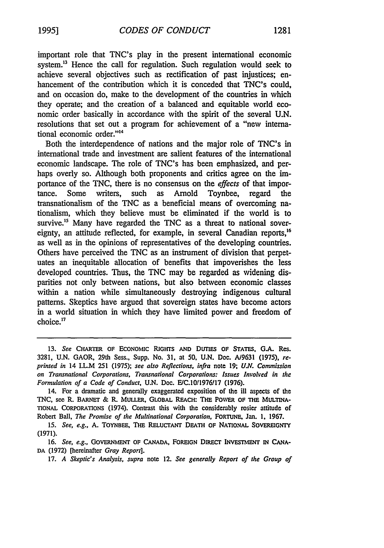important role that TNC's play in the present international economic system.<sup>13</sup> Hence the call for regulation. Such regulation would seek to achieve several objectives such as rectification of past injustices; enhancement of the contribution which it is conceded that TNC's could, and on occasion do, make to the development of the countries in which they operate; and the creation of a balanced and equitable world economic order basically in accordance with the spirit of the several U.N.

resolutions that set out a program for achievement of a "new interna-

tional economic order."<sup>14</sup> Both the interdependence of nations and the major role of TNC's in international trade and investment are salient features of the international economic landscape. The role of TNC's has been emphasized, and perhaps overly so. Although both proponents and critics agree on the importance of the TNC, there is no consensus on the *effects* of that importance. Some writers, such as Arnold Toynbee, regard the transnationalism of the TNC as a beneficial means of overcoming nationalism, which they believe must be eliminated if the world is to survive.<sup>15</sup> Many have regarded the TNC as a threat to national sovereignty, an attitude reflected, for example, in several Canadian reports,<sup>16</sup> as well as in the opinions of representatives of the developing countries. Others have perceived the TNC as an instrument of division that perpetuates an inequitable allocation of benefits that impoverishes the less developed countries. Thus, the TNC may be regarded as widening disparities not only between nations, but also between economic classes within a nation while simultaneously destroying indigenous cultural patterns. Skeptics have argued that sovereign states have become actors in a world situation in which they have limited power and freedom of  $choice<sup>17</sup>$ 

**<sup>13.</sup>** *See* CHARTER **OF ECONOMIC RIGHTS AND DunTEs OF STATES,** G.A. Res. 3281, U.N. GAOR, 29th Sess., Supp. No. **31,** at 50, U.N. Doe. A/9631 (1975), *reprinted in* 14 I.L.M 251 (1975); *see also Reflections, infra* note 19; *U.N. Commission on Transnational Corporations, Transnational Corporations: Issues Involved in the Formulation of a Code of Conduct,* U.N. Doc. E/C.1011976117 (1976).

<sup>14.</sup> For a dramatic and generally exaggerated exposition of the ill aspects of the TNC, see R. BARNET & R. MULLER, GLOBAL REACH: THE POWER **OF THE** MULTINA-TIONAL CORPORATIONS (1974). Contrast this with the considerably rosier attitude of Robert Ball, *The Promise of the Multinational Corporation,* FORTUNE, Jan. **1,** 1967.

<sup>15.</sup> *See, e.g., A. TOYNBEE, THE RELUCTANT DEATH OF NATIONAL SOVEREIGNTY* (1971).

<sup>16.</sup> See, e.g., GOVERNMENT OF CANADA, FOREIGN DIRECT INVESTMENT IN CANA-**DA** (1972) [hereinafter *Gray Report].*

<sup>17.</sup> *A Skeptic's Analysis, supra* note 12. *See generally Report of the Group of*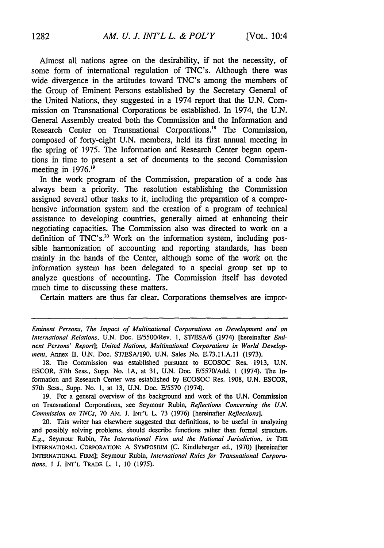Almost all nations agree on the desirability, if not the necessity, of some form of international regulation of TNC's. Although there was wide divergence in the attitudes toward TNC's among the members of the Group of Eminent Persons established by the Secretary General of the United Nations, they suggested in a 1974 report that the U.N. Commission on Transnational Corporations be established. In 1974, the U.N. General Assembly created both the Commission and the Information and Research Center on Transnational Corporations.<sup>18</sup> The Commission, composed of forty-eight U.N. members, held its first annual meeting in the spring of 1975. The Information and Research Center began operations in time to present a set of documents to the second Commission meeting in 1976.<sup>19</sup>

In the work program of the Commission, preparation of a code has always been a priority. The resolution establishing the Commission assigned several other tasks to it, including the preparation of a comprehensive information system and the creation of a program of technical assistance to developing countries, generally aimed at enhancing their negotiating capacities. The Commission also was directed to work on a definition of TNC's.<sup>20</sup> Work on the information system, including possible harmonization of accounting and reporting standards, has been mainly in the hands of the Center, although some of the work on the information system has been delegated to a special group set up to analyze questions of accounting. The Commission itself has devoted much time to discussing these matters.

Certain matters are thus far clear. Corporations themselves are impor-

*Eminent Persons, The Impact of Multinational Corporations on Development and on International Relations,* U.N. Doc. E/5500/Rev. I, ST/ESA/6 (1974) [hereinafter *Eminent Persons' Report]; United Nations, Multinational Corporations in World Development,* Annex II, U.N. Doc. ST/ESA/190, U.N. Sales No. E.73.11.A.11 (1973).

18. The Commission was established pursuant to ECOSOC Res. 1913, U.N. ESCOR, 57th Sess., Supp. No. **IA,** at 31, U.N. Doc. E/5570/Add. **1** (1974). The Information and Research Center was established by ECOSOC Res. 1908, U.N. ESCOR, 57th Sess., Supp. No. 1, at 13, U.N. Doc. E/5570 (1974).

19. For a general overview of the background and work of the U.N. Commission on Transnational Corporations, see Seymour Rubin, *Reflections Concerning the U.N. Commission on TNCs,* 70 AM. J. INT'L L. 73 (1976) [hereinafter *Reflections].*

20. This writer has elsewhere suggested that definitions, to be useful in analyzing and possibly solving problems, should describe functions rather than formal structure. *E.g.,* Seymour Rubin, *The International Firm and the National Jurisdiction, in* THE INTERNATIONAL CORPORATION: A SYMPOSIUM **(C.** Kindleberger ed., 1970) [hereinafter INTERNATIONAL FIRM]; Seymour Rubin, *International Rules for Transnational Corporations,* 1 J. INT'L TRADE L. 1, 10 (1975).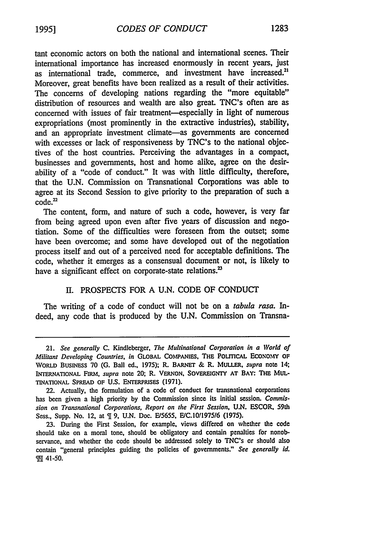tant economic actors on both the national and international scenes. Their international importance has increased enormously in recent years, just as international trade, commerce, and investment have increased.<sup>21</sup> Moreover, great benefits have been realized as a result of their activities. The concerns of developing nations regarding the "more equitable" distribution of resources and wealth are also great. TNC's often are as concerned with issues of fair treatment-especially in light of numerous expropriations (most prominently in the extractive industries), stability, and an appropriate investment climate—as governments are concerned with excesses or lack of responsiveness by TNC's to the national objectives of the host countries. Perceiving the advantages in a compact, businesses and governments, host and home alike, agree on the desirability of a "code of conduct." It was with little difficulty, therefore, that the U.N. Commission on Transnational Corporations was able to agree at its Second Session to give priority to the preparation of such a code.<sup>22</sup>

The content, form, and nature of such a code, however, is very far from being agreed upon even after five years of discussion and negotiation. Some of the difficulties were foreseen from the outset; some have been overcome; and some have developed out of the negotiation process itself and out of a perceived need for acceptable definitions. The code, whether it emerges as a consensual document or not, is likely to have a significant effect on corporate-state relations.<sup>23</sup>

#### II. PROSPECTS FOR A U.N. CODE OF CONDUCT

The writing of a code of conduct will not be on a tabida rasa. *In*deed, any code that is produced by the U.N. Commission on Transna-

<sup>21.</sup> *See generally* **C.** Kindleberger, *The Multinational Corporation in a World of Militant Developing Countries, in* GLOBAL COMiPANIES, **THE** POLITICAL ECONOMY OF WORLD BusINESS 70 (G. Ball ed., 1975); R. BARNET & R. MULLER, *supra* note 14; INTERNATIONAL FIRM, *supra* note 20; R. **VERNON,** SOVEREIGNTY **AT** BAY: THE **MUL-**TINATIONAL SPREAD OF **U.S.** ENTERPRISEs (1971).

<sup>22.</sup> Actually, the formulation of a code of conduct for transnational corporations has been given a high priority by the Commission since its initial session. *Commission on Transnational Corporations, Report on the First Session,* **U.N. ESCOR,** 59th Sess., Supp. No. 12, at  $\P$  9, U.N. Doc. E/5655, E/C.10/1975/6 (1975).

<sup>23.</sup> During the First Session, for example, views differed on whether the code should take on a moral tone, should be obligatory and contain penalties for nonobservance, and whether the code should be addressed solely to TNC's or should also contain "general principles guiding the policies of governments." *See generally id.* 98 41-50.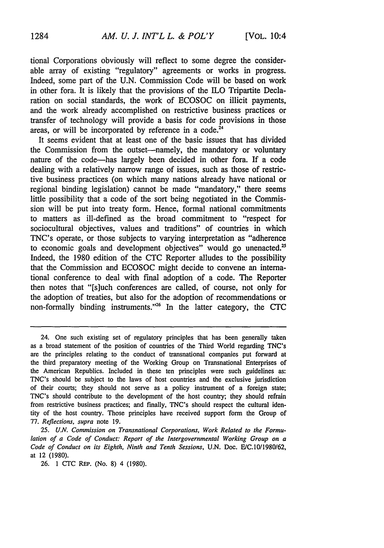tional Corporations obviously will reflect to some degree the considerable array of existing "regulatory" agreements or works in progress. Indeed, some part of the U.N. Commission Code will be based on work in other fora. It is likely that the provisions of the ILO Tripartite Declaration on social standards, the work of ECOSOC on illicit payments, and the work already accomplished on restrictive business practices or transfer of technology will provide a basis for code provisions in those areas, or will be incorporated by reference in a code.<sup>24</sup>

It seems evident that at least one of the basic issues that has divided the Commission from the outset—namely, the mandatory or voluntary nature of the code-has largely been decided in other fora. If a code dealing with a relatively narrow range of issues, such as those of restrictive business practices (on which many nations already have national or regional binding legislation) cannot be made "mandatory," there seems little possibility that a code of the sort being negotiated in the Commission will be put into treaty form. Hence, formal national commitments to matters as ill-defined as the broad commitment to "respect for sociocultural objectives, values and traditions" of countries in which TNC's operate, or those subjects to varying interpretation as "adherence to economic goals and development objectives" would go unenacted.<sup>25</sup> Indeed, the 1980 edition of the CTC Reporter alludes to the possibility that the Commission and ECOSOC might decide to convene an international conference to deal with final adoption of a code. The Reporter then notes that "[s]uch conferences are called, of course, not only for the adoption of treaties, but also for the adoption of recommendations or non-formally binding instruments."<sup>26</sup> In the latter category, the CTC

26. 1 CTC REP. (No. 8) 4 (1980).

<sup>24.</sup> One such existing set of regulatory principles that has been generally taken as a broad statement of the position of countries of the Third World regarding TNC's are the principles relating to the conduct of transnational companies put forward at the third preparatory meeting of the Working Group on Transnational Enterprises of the American Republics. Included in these ten principles were such guidelines as: TNC's should be subject to the laws of host countries and the exclusive jurisdiction of their courts; they should not serve as a policy instrument of a foreign state; TNC's should contribute to the development of the host country; they should refrain from restrictive business practices; and finally, TNC's should respect the cultural identity of the host country. Those principles have received support form the Group of *77. Reflections, supra* note 19.

*<sup>25.</sup> U.N. Commission on Transnational Corporations, Work Related to the Formulation of a Code of Conduct: Report of the Intergovernmental Working Group on a Code of Conduct on its Eighth, Ninth and Tenth Sessions,* U.N. Doc. E/C.10/1980162, at 12 (1980).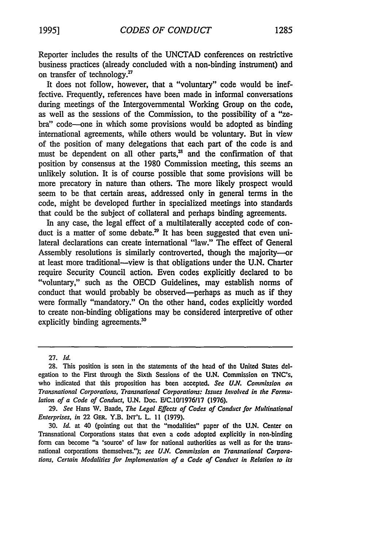Reporter includes the results of the UNCTAD conferences on restrictive business practices (already concluded with a non-binding instrument) and on transfer of technology. $27$ 

It does not follow, however, that a "voluntary" code would be ineffective. Frequently, references have been made in informal conversations during meetings of the Intergovernmental Working Group on the code, as well as the sessions of the Commission, to the possibility of a "zebra" code-one in which some provisions would be adopted as binding international agreements, while others would be voluntary. But in view of the position of many delegations that each part of the code is and must be dependent on all other parts,<sup>28</sup> and the confirmation of that position by consensus at the 1980 Commission meeting, this seems an unlikely solution. It is of course possible that some provisions will be more precatory in nature than others. The more likely prospect would seem to be that certain areas, addressed only in general terms in the code, might be developed further in specialized meetings into standards that could be the subject of collateral and perhaps binding agreements.

In any case, the legal effect of a multilaterally accepted code of conduct is a matter of some debate.<sup>29</sup> It has been suggested that even unilateral declarations can create international "law." The effect of General Assembly resolutions is similarly controverted, though the majority---at least more traditional-view is that obligations under the U.N. Charter require Security Council action. Even codes explicitly declared to be "voluntary," such as the OECD Guidelines, may establish norms of conduct that would probably be observed—perhaps as much as if they were formally "mandatory." On the other hand, codes explicitly worded to create non-binding obligations may be considered interpretive of other explicitly binding agreements.<sup>30</sup>

<sup>27.</sup> *Id.*

**<sup>28.</sup>** This position is seen in the statements of the head of the United States delegation to the Frst through the Sixth Sessions of the **U.N.** Commission on TNC's, who indicated that this proposition has been accepted. *See U.N. Commission on Transnational Corporations, Transnational Corporations: Issues Involved in the Formulation of a Code of Conduct, U.N. Doc. E/C.10/1976/17 (1976).* 

<sup>29.</sup> *See* Hans **W.** Baade, *The Legal Effects of Codes of Conduct for Multinational Enterprises, in* 22 GER. Y.B. **INT'L** L. 11 (1979).

<sup>30.</sup> *Id.* at 40 (pointing out that the "modalities" paper of the U.N. Center on Transnational Corporations states that even a code adopted explicitly in non-binding form can become "a 'source' of law for national authorities as well as for the transnational corporations themselves."); *see U.N. Commission on Transnational Corporations, Certain Modalities for Implementation of a Code of Conduct in Relation to its*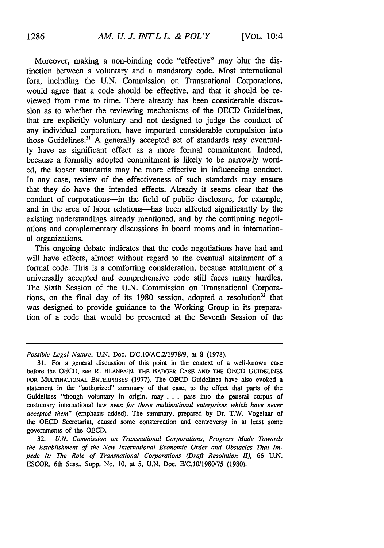Moreover, making a non-binding code "effective" may blur the distinction between a voluntary and a mandatory code. Most international fora, including the U.N. Commission on Transnational Corporations, would agree that a code should be effective, and that it should be reviewed from time to time. There already has been considerable discussion as to whether the reviewing mechanisms of the OECD Guidelines, that are explicitly voluntary and not designed to judge the conduct of any individual corporation, have imported considerable compulsion into those Guidelines." A generally accepted set of standards may eventually have as significant effect as a more formal commitment. Indeed, because a formally adopted commitment is likely to be narrowly worded, the looser standards may be more effective in influencing conduct. In any case, review of the effectiveness of such standards may ensure that they do have the intended effects. Already it seems clear that the conduct of corporations-in the field of public disclosure, for example, and in the area of labor relations-has been affected significantly by the existing understandings already mentioned, and by the continuing negotiations and complementary discussions in board rooms and in international organizations.

This ongoing debate indicates that the code negotiations have had and will have effects, almost without regard to the eventual attainment of a formal code. This is a comforting consideration, because attainment of a universally accepted and comprehensive code still faces many hurdles. The Sixth Session of the U.N. Commission on Transnational Corporations, on the final day of its 1980 session, adopted a resolution<sup>32</sup> that was designed to provide guidance to the Working Group in its preparation of a code that would be presented at the Seventh Session of the

*Possible Legal Nature, U.N. Doc. E/C.10/AC.2/1978/9, at 8 (1978).* 

<sup>31.</sup> For a general discussion of this point in the context of a well-known case before the OECD, see R. BLANPAIN, **THE** BADGER **CASE AND THE** OECD **GUIDELINES** FOR MULTINATIONAL ENTERPRISES (1977). The OECD Guidelines have also evoked a statement in the "authorized" summary of that case, to the effect that parts of the Guidelines "though voluntary in origin, may **. . .** pass into the general corpus of customary international law *even for those multinational enterprises which have never accepted them"* (emphasis added). The summary, prepared by Dr. T.W. Vogelaar of the OECD Secretariat, caused some consternation and controversy in at least some governments of the OECD.

<sup>32.</sup> *U.N. Commission on Transnational Corporations, Progress Made Towards the Establishment of the New International Economic Order and Obstacles That Impede It: The Role of Transnational Corporations (Draft Resolution II), 66* U.N. ESCOR, 6th Sess., Supp. No. 10, at 5, U.N. Doc. E/C.10/1980/75 (1980).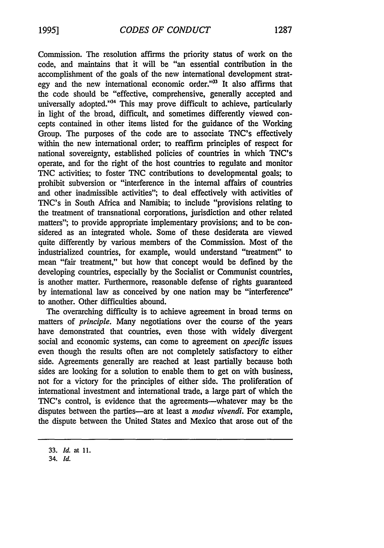Commission. The resolution affirms the priority status of work on the code, and maintains that it will be "an essential contribution in the accomplishment of the goals of the new international development strategy and the new international economic order."<sup>33</sup> It also affirms that the code should be "effective, comprehensive, generally accepted and universally adopted."<sup>34</sup> This may prove difficult to achieve, particularly in light of the broad, difficult, and sometimes differently viewed concepts contained in other items listed for the guidance of the Working Group. The purposes of the code are to associate TNC's effectively within the new international order; to reaffirm principles of respect for national sovereignty, established policies of countries in which TNC's operate, and for the right of the host countries to regulate and monitor TNC activities; to foster TNC contributions to developmental goals; to prohibit subversion or "interference in the internal affairs of countries and other inadmissible activities"; to deal effectively with activities of TNC's in South Africa and Namibia; to include "provisions relating to the treatment of transnational corporations, jurisdiction and other related matters"; to provide appropriate implementary provisions; and to be considered as an integrated whole. Some of these desiderata are viewed quite differently by various members of the Commission. Most of the industrialized countries, for example, would understand "treatment" to mean "fair treatment," but how that concept would be defined by the developing countries, especially by the Socialist or Communist countries, is another matter. Furthermore, reasonable defense of rights guaranteed by international law as conceived by one nation may be "interference" to another. Other difficulties abound.

The overarching difficulty is to achieve agreement in broad terms on matters of *principle.* Many negotiations over the course of the years have demonstrated that countries, even those with widely divergent social and economic systems, can come to agreement on *specific* issues even though the results often are not completely satisfactory to either side. Agreements generally are reached at least partially because both sides are looking for a solution to enable them to get on with business, not for a victory for the principles of either side. The proliferation of international investment and international trade, a large part of which the TNC's control, is evidence that the agreements—whatever may be the disputes between the parties-are at least a *modus vivendi.* For example, the dispute between the United States and Mexico that arose out of the

**<sup>33.</sup>** *Id.* at **11.**

<sup>34.</sup> **Id.**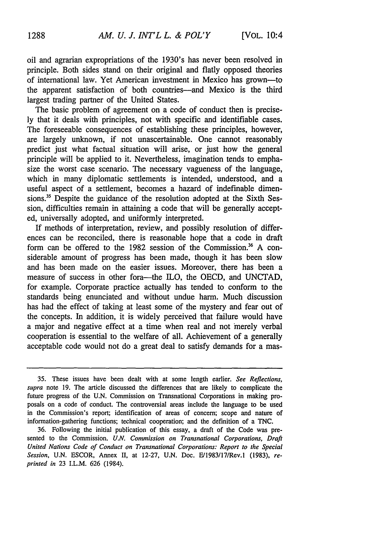oil and agrarian expropriations of the 1930's has never been resolved in principle. Both sides stand on their original and flatly opposed theories of international law. Yet American investment in Mexico has grown-to the apparent satisfaction of both countries-and Mexico is the third largest trading partner of the United States.

The basic problem of agreement on a code of conduct then is precisely that it deals with principles, not with specific and identifiable cases. The foreseeable consequences of establishing these principles, however, are largely unknown, if not unascertainable. One cannot reasonably predict just what factual situation will arise, or just how the general principle will be applied to it. Nevertheless, imagination tends to emphasize the worst case scenario. The necessary vagueness of the language, which in many diplomatic settlements is intended, understood, and a useful aspect of a settlement, becomes a hazard of indefinable dimensions.<sup>35</sup> Despite the guidance of the resolution adopted at the Sixth Session, difficulties remain in attaining a code that will be generally accepted, universally adopted, and uniformly interpreted.

If methods of interpretation, review, and possibly resolution of differences can be reconciled, there is reasonable hope that a code in draft form can be offered to the 1982 session of the Commission." **A** considerable amount of progress has been made, though it has been slow and has been made on the easier issues. Moreover, there has been a measure of success in other fora-the ILO, the OECD, and UNCTAD, for example. Corporate practice actually has tended to conform to the standards being enunciated and without undue harm. Much discussion has had the effect of taking at least some of the mystery and fear out of the concepts. In addition, it is widely perceived that failure would have a major and negative effect at a time when real and not merely verbal cooperation is essential to the welfare of all. Achievement of a generally acceptable code would not do a great deal to satisfy demands for a mas-

**<sup>35.</sup>** These issues have been dealt with at some length earlier. *See Reflections, supra* note 19. The article discussed the differences that are likely to complicate the future progress of the **U.N.** Commission on Transnational Corporations in making proposals on a code of conduct. The controversial areas include the language to be used in the Commission's report; identification of areas of concern; scope and nature of information-gathering functions; technical cooperation; and the definition of a TNC.

<sup>36.</sup> Following the initial publication of this essay, a draft of the Code was presented to the Commission. *U.N. Commission on Transnational Corporations, Draft United Nations Code of Conduct on Transnational Corporations: Report to the Special Session,* U.N. ESCOR, Annex II, at 12-27, U.N. Doc. E/1983/17/Rev.l (1983), *reprinted in* 23 I.L.M. 626 (1984).